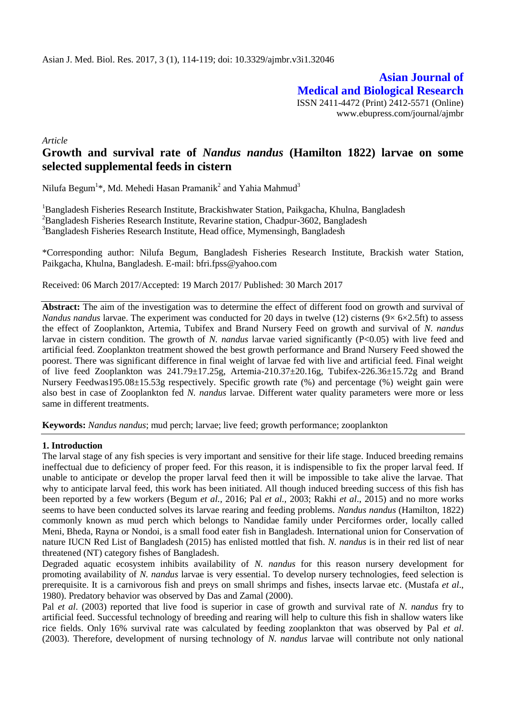**Asian Journal of Medical and Biological Research** ISSN 2411-4472 (Print) 2412-5571 (Online) www.ebupress.com/journal/ajmbr

*Article*

# **Growth and survival rate of** *Nandus nandus* **(Hamilton 1822) larvae on some selected supplemental feeds in cistern**

Nilufa Begum $^{1*}$ , Md. Mehedi Hasan Pramanik $^{2}$  and Yahia Mahmud $^{3}$ 

<sup>1</sup>Bangladesh Fisheries Research Institute, Brackishwater Station, Paikgacha, Khulna, Bangladesh <sup>2</sup>Bangladesh Fisheries Research Institute, Revarine station, Chadpur-3602, Bangladesh <sup>3</sup>Bangladesh Fisheries Research Institute, Head office, Mymensingh, Bangladesh

\*Corresponding author: Nilufa Begum, Bangladesh Fisheries Research Institute, Brackish water Station, Paikgacha, Khulna, Bangladesh. E-mail: [bfri.fpss@yahoo.com](mailto:bfri.fpss@yahoo.com)

Received: 06 March 2017/Accepted: 19 March 2017/ Published: 30 March 2017

**Abstract:** The aim of the investigation was to determine the effect of different food on growth and survival of *Nandus nandus* larvae. The experiment was conducted for 20 days in twelve (12) cisterns (9× 6×2.5ft) to assess the effect of Zooplankton, Artemia, Tubifex and Brand Nursery Feed on growth and survival of *N. nandus* larvae in cistern condition. The growth of *N. nandus* larvae varied significantly (P<0.05) with live feed and artificial feed. Zooplankton treatment showed the best growth performance and Brand Nursery Feed showed the poorest. There was significant difference in final weight of larvae fed with live and artificial feed. Final weight of live feed Zooplankton was 241.79±17.25g, Artemia-210.37±20.16g, Tubifex-226.36±15.72g and Brand Nursery Feedwas195.08±15.53g respectively. Specific growth rate (%) and percentage (%) weight gain were also best in case of Zooplankton fed *N. nandus* larvae. Different water quality parameters were more or less same in different treatments.

**Keywords:** *Nandus nandus*; mud perch; larvae; live feed; growth performance; zooplankton

#### **1. Introduction**

The larval stage of any fish species is very important and sensitive for their life stage. Induced breeding remains ineffectual due to deficiency of proper feed. For this reason, it is indispensible to fix the proper larval feed. If unable to anticipate or develop the proper larval feed then it will be impossible to take alive the larvae. That why to anticipate larval feed, this work has been initiated. All though induced breeding success of this fish has been reported by a few workers (Begum *et al.,* 2016; Pal *et al.,* 2003; Rakhi *et al*., 2015) and no more works seems to have been conducted solves its larvae rearing and feeding problems. *Nandus nandus* (Hamilton, 1822) commonly known as mud perch which belongs to Nandidae family under Perciformes order, locally called Meni, Bheda, Rayna or Nondoi, is a small food eater fish in Bangladesh. International union for Conservation of nature IUCN Red List of Bangladesh (2015) has enlisted mottled that fish. *N. nandus* is in their red list of near threatened (NT) [category](https://www.google.com/search?client=firefox-b-ab&noj=1&q=category&spell=1&sa=X&ved=0ahUKEwik6ey0lt3SAhVKrY8KHfV1AIgQvwUIGCgA&biw=1366&bih=657) fishes of Bangladesh.

Degraded aquatic ecosystem inhibits availability of *N. nandus* for this reason nursery development for promoting availability of *N. nandus* larvae is very essential. To develop nursery technologies, feed selection is prerequisite. It is a carnivorous fish and preys on small shrimps and fishes, insects larvae etc. (Mustafa *et al*., 1980). Predatory behavior was observed by Das and Zamal (2000).

Pal *et al*. (2003) reported that live food is superior in case of growth and survival rate of *N. nandus* fry to artificial feed. Successful technology of breeding and rearing will help to culture this fish in shallow waters like rice fields. Only 16% survival rate was calculated by feeding zooplankton that was observed by Pal *et al*. (2003). Therefore, development of nursing technology of *N. nandus* larvae will contribute not only national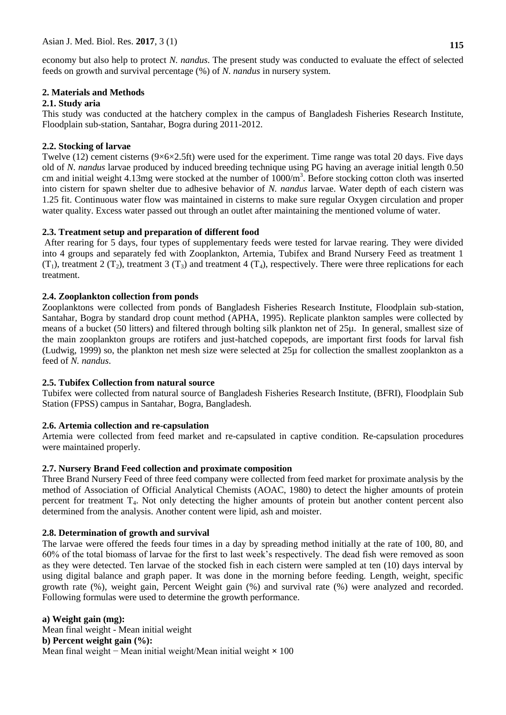economy but also help to protect *N. nandus*. The present study was conducted to evaluate the effect of selected feeds on growth and survival percentage (%) of *N. nandus* in nursery system.

# **2. Materials and Methods**

### **2.1. Study aria**

This study was conducted at the hatchery complex in the campus of Bangladesh Fisheries Research Institute, Floodplain sub-station, Santahar, Bogra during 2011-2012.

### **2.2. Stocking of larvae**

Twelve (12) cement cisterns (9×6×2.5ft) were used for the experiment. Time range was total 20 days. Five days old of *N. nandus* larvae produced by induced breeding technique using PG having an average initial length 0.50 cm and initial weight  $4.13$ mg were stocked at the number of  $1000/m<sup>3</sup>$ . Before stocking cotton cloth was inserted into cistern for spawn shelter due to adhesive behavior of *N. nandus* larvae. Water depth of each cistern was 1.25 fit. Continuous water flow was maintained in cisterns to make sure regular Oxygen circulation and proper water quality. Excess water passed out through an outlet after maintaining the mentioned volume of water.

### **2.3. Treatment setup and preparation of different food**

After rearing for 5 days, four types of supplementary feeds were tested for larvae rearing. They were divided into 4 groups and separately fed with Zooplankton, Artemia, Tubifex and Brand Nursery Feed as treatment 1  $(T_1)$ , treatment 2  $(T_2)$ , treatment 3  $(T_3)$  and treatment 4  $(T_4)$ , respectively. There were three replications for each treatment.

### **2.4. Zooplankton collection from ponds**

Zooplanktons were collected from ponds of Bangladesh Fisheries Research Institute, Floodplain sub-station, Santahar, Bogra by standard drop count method (APHA, 1995). Replicate plankton samples were collected by means of a bucket (50 litters) and filtered through bolting silk plankton net of 25µ. In general, smallest size of the main zooplankton groups are rotifers and just-hatched copepods, are important first foods for larval fish (Ludwig, 1999) so, the plankton net mesh size were selected at 25µ for collection the smallest zooplankton as a feed of *N. nandus*.

### **2.5. Tubifex Collection from natural source**

Tubifex were collected from natural source of Bangladesh Fisheries Research Institute, (BFRI), Floodplain Sub Station (FPSS) campus in Santahar, Bogra, Bangladesh.

# **2.6. Artemia collection and re-capsulation**

Artemia were collected from feed market and re-capsulated in captive condition. Re-capsulation procedures were maintained properly.

# **2.7. Nursery Brand Feed collection and proximate composition**

Three Brand Nursery Feed of three feed company were collected from feed market for proximate analysis by the method of Association of Official Analytical Chemists (AOAC, 1980) to detect the higher amounts of protein percent for treatment  $T<sub>4</sub>$ . Not only detecting the higher amounts of protein but another content percent also determined from the analysis. Another content were lipid, ash and moister.

# **2.8. Determination of growth and survival**

The larvae were offered the feeds four times in a day by spreading method initially at the rate of 100, 80, and 60% of the total biomass of larvae for the first to last week's respectively. The dead fish were removed as soon as they were detected. Ten larvae of the stocked fish in each cistern were sampled at ten (10) days interval by using digital balance and graph paper. It was done in the morning before feeding. Length, weight, specific growth rate (%), weight gain, Percent Weight gain (%) and survival rate (%) were analyzed and recorded. Following formulas were used to determine the growth performance.

**a) Weight gain (mg):** Mean final weight - Mean initial weight **b) Percent weight gain (%):** Mean final weight − Mean initial weight/Mean initial weight **×** 100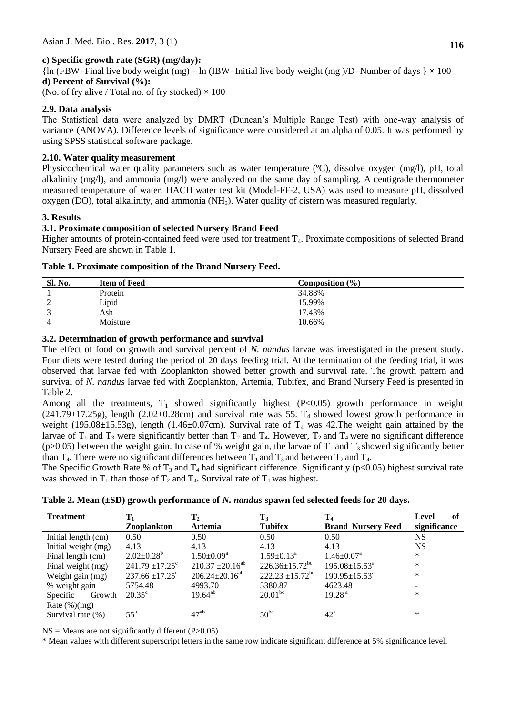# **c) Specific growth rate (SGR) (mg/day):**

 ${\ln (FBW=Final live body weight (mg) - ln (IBW=Initial live body weight (mg) / D=Number of days ) \times 100}$ **d) Percent of Survival (%):**

(No. of fry alive / Total no. of fry stocked)  $\times$  100

# **2.9. Data analysis**

The Statistical data were analyzed by DMRT (Duncan's Multiple Range Test) with one-way analysis of variance (ANOVA). Difference levels of significance were considered at an alpha of 0.05. It was performed by using SPSS statistical software package.

# **2.10. Water quality measurement**

Physicochemical water quality parameters such as water temperature (ºC), dissolve oxygen (mg/l), pH, total alkalinity (mg/l), and ammonia (mg/l) were analyzed on the same day of sampling. A centigrade thermometer measured temperature of water. HACH water test kit (Model-FF-2, USA) was used to measure pH, dissolved oxygen (DO), total alkalinity, and ammonia (NH3). Water quality of cistern was measured regularly.

# **3. Results**

# **3.1. Proximate composition of selected Nursery Brand Feed**

Higher amounts of protein-contained feed were used for treatment T<sub>4</sub>. Proximate compositions of selected Brand Nursery Feed are shown in Table 1.

# **Table 1. Proximate composition of the Brand Nursery Feed.**

| Sl. No. | <b>Item of Feed</b> | Composition $(\% )$ |  |
|---------|---------------------|---------------------|--|
|         | Protein             | 34.88%              |  |
| ∸       | Lipid               | 15.99%              |  |
|         | Ash                 | 17.43%              |  |
|         | Moisture            | 10.66%              |  |

# **3.2. Determination of growth performance and survival**

The effect of food on growth and survival percent of *N. nandus* larvae was investigated in the present study. Four diets were tested during the period of 20 days feeding trial. At the termination of the feeding trial, it was observed that larvae fed with Zooplankton showed better growth and survival rate. The growth pattern and survival of *N. nandus* larvae fed with Zooplankton, Artemia, Tubifex, and Brand Nursery Feed is presented in Table 2.

Among all the treatments,  $T_1$  showed significantly highest (P<0.05) growth performance in weight  $(241.79 \pm 17.25$ g), length  $(2.02 \pm 0.28$ cm) and survival rate was 55. T<sub>4</sub> showed lowest growth performance in weight (195.08 $\pm$ 15.53g), length (1.46 $\pm$ 0.07cm). Survival rate of T<sub>4</sub> was 42. The weight gain attained by the larvae of  $T_1$  and  $T_3$  were significantly better than  $T_2$  and  $T_4$ . However,  $T_2$  and  $T_4$  were no significant difference (p>0.05) between the weight gain. In case of % weight gain, the larvae of  $T_1$  and  $T_3$  showed significantly better than  $T_4$ . There were no significant differences between  $T_1$  and  $T_3$  and between  $T_2$  and  $T_4$ .

The Specific Growth Rate % of  $T_3$  and  $T_4$  had significant difference. Significantly (p<0.05) highest survival rate was showed in  $T_1$  than those of  $T_2$  and  $T_4$ . Survival rate of  $T_1$  was highest.

| <b>Treatment</b>    | $\mathbf{T}_1$       | $\mathbf{T}_2$             | $\mathbf{T}_3$                   | $\mathbf{T}_4$                | of<br>Level              |
|---------------------|----------------------|----------------------------|----------------------------------|-------------------------------|--------------------------|
|                     | Zooplankton          | <b>Artemia</b>             | <b>Tubifex</b>                   | <b>Brand Nursery Feed</b>     | significance             |
| Initial length (cm) | 0.50                 | 0.50                       | 0.50                             | 0.50                          | NS                       |
| Initial weight (mg) | 4.13                 | 4.13                       | 4.13                             | 4.13                          | NS                       |
| Final length (cm)   | $2.02 \pm 0.28^b$    | $1.50 \pm 0.09^{\text{a}}$ | $1.59 \pm 0.13^{\text{a}}$       | $1.46 \pm 0.07^{\text{a}}$    | $\ast$                   |
| Final weight (mg)   | $241.79 \pm 17.25$ ° | $210.37 \pm 20.16^{ab}$    | $226.36 \pm 15.72$ <sup>bc</sup> | $195.08 \pm 15.53^{\text{a}}$ | $\ast$                   |
| Weight gain (mg)    | $237.66 \pm 17.25$ ° | $206.24 \pm 20.16^{ab}$    | $222.23 \pm 15.72$ <sup>bc</sup> | $190.95 \pm 15.53^{\text{a}}$ | *                        |
| % weight gain       | 5754.48              | 4993.70                    | 5380.87                          | 4623.48                       | $\overline{\phantom{a}}$ |
| Specific<br>Growth  | $20.35^{\circ}$      | $19.64^{ab}$               | $20.01^{bc}$                     | 19.28 <sup>a</sup>            | *                        |
| Rate $(\%)(mg)$     |                      |                            |                                  |                               |                          |
| Survival rate (%)   | 55 $^{\circ}$        | $47^{ab}$                  | $50^{bc}$                        | $42^{\circ}$                  | $\ast$                   |

 $NS = Means$  are not significantly different (P $>0.05$ )

\* Mean values with different superscript letters in the same row indicate significant difference at 5% significance level.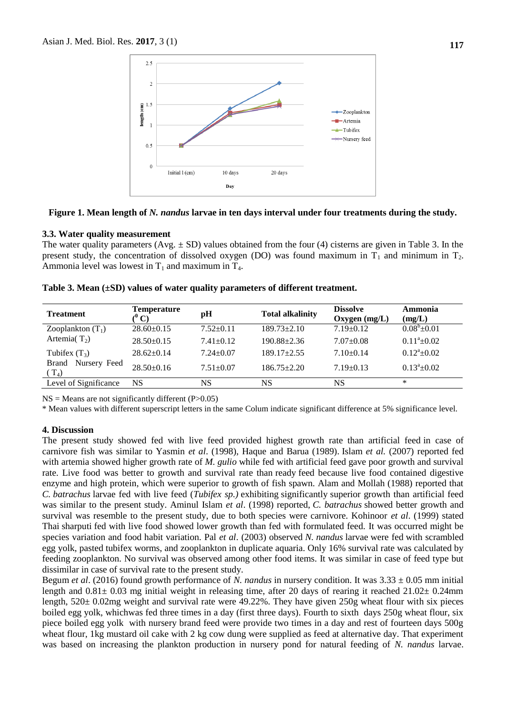

#### **Figure 1. Mean length of** *N. nandus* **larvae in ten days interval under four treatments during the study.**

#### **3.3. Water quality measurement**

The water quality parameters  $(Avg. \pm SD)$  values obtained from the four (4) cisterns are given in Table 3. In the present study, the concentration of dissolved oxygen (DO) was found maximum in  $T_1$  and minimum in  $T_2$ . Ammonia level was lowest in  $T_1$  and maximum in  $T_4$ .

| <b>Treatment</b>                        | <b>Temperature</b><br>$(^0\mathrm{C})$ | pH              | <b>Total alkalinity</b> | <b>Dissolve</b><br>Oxygen $(mg/L)$ | Ammonia<br>(mg/L)     |
|-----------------------------------------|----------------------------------------|-----------------|-------------------------|------------------------------------|-----------------------|
| Zooplankton $(T_1)$                     | $28.60\pm0.15$                         | $7.52+0.11$     | $189.73 \pm 2.10$       | $7.19+0.12$                        | $0.08^{\circ}$ + 0.01 |
| Artemia( $T_2$ )                        | $28.50\pm0.15$                         | $7.41 + 0.12$   | $190.88 \pm 2.36$       | $7.07 \pm 0.08$                    | $0.11^a \pm 0.02$     |
| Tubifex $(T_3)$                         | $28.62 \pm 0.14$                       | $7.24 + 0.07$   | $189.17 \pm 2.55$       | $7.10 \pm 0.14$                    | $0.12^a \pm 0.02$     |
| Nursery Feed<br><b>Brand</b><br>$(T_4)$ | $28.50+0.16$                           | $7.51 \pm 0.07$ | $186.75 \pm 2.20$       | $7.19 \pm 0.13$                    | $0.13^a \pm 0.02$     |
| Level of Significance                   | <b>NS</b>                              | <b>NS</b>       | NS                      | NS                                 | *                     |
|                                         |                                        |                 |                         |                                    |                       |

**Table 3. Mean (±SD) values of water quality parameters of different treatment.**

 $NS =$  Means are not significantly different (P $>0.05$ )

\* Mean values with different superscript letters in the same Colum indicate significant difference at 5% significance level.

### **4. Discussion**

The present study showed fed with live feed provided highest growth rate than artificial feed in case of carnivore fish was similar to Yasmin *et al*. (1998), Haque and Barua (1989). Islam *et al.* (2007) reported fed with artemia showed higher growth rate of *M. gulio* while fed with artificial feed gave poor growth and survival rate. Live food was better to growth and survival rate than ready feed because live food contained digestive enzyme and high protein, which were superior to growth of fish spawn. Alam and Mollah (1988) reported that *C. batrachus* larvae fed with live feed (*Tubifex sp.)* exhibiting significantly superior growth than artificial feed was similar to the present study. Aminul Islam *et al*. (1998) reported, *C. batrachus* showed better growth and survival was resemble to the present study, due to both species were carnivore. Kohinoor *et al*. (1999) stated Thai sharputi fed with live food showed lower growth than fed with formulated feed. It was occurred might be species variation and food habit variation. Pal *et al*. (2003) observed *N. nandus* larvae were fed with scrambled egg yolk, pasted tubifex worms, and zooplankton in duplicate aquaria. Only 16% survival rate was calculated by feeding zooplankton. No survival was observed among other food items. It was similar in case of feed type but dissimilar in case of survival rate to the present study.

Begum *et al*. (2016) found growth performance of *N. nandus* in nursery condition. It was 3.33 ± 0.05 mm initial length and  $0.81\pm 0.03$  mg initial weight in releasing time, after 20 days of rearing it reached  $21.02\pm 0.24$ mm length, 520± 0.02mg weight and survival rate were 49.22%. They have given 250g wheat flour with six pieces boiled egg yolk, whichwas fed three times in a day (first three days). Fourth to sixth days 250g wheat flour, six piece boiled egg yolk with nursery brand feed were provide two times in a day and rest of fourteen days 500g wheat flour, 1kg mustard oil cake with 2 kg cow dung were supplied as feed at alternative day. That experiment was based on increasing the plankton production in nursery pond for natural feeding of *N. nandus* larvae.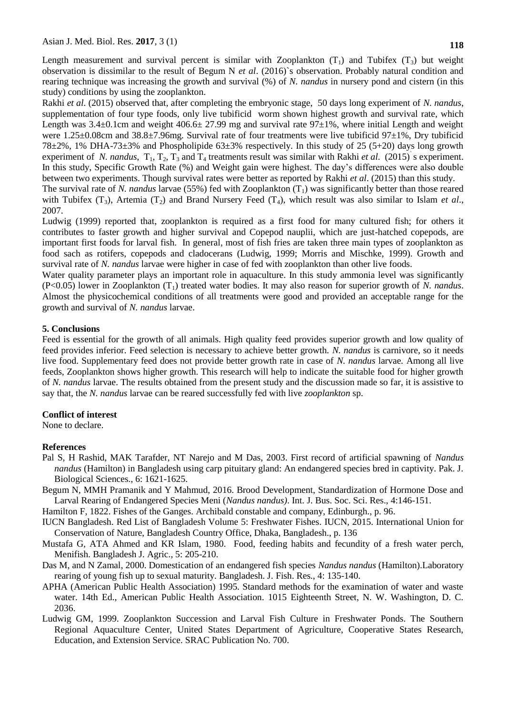Length measurement and survival percent is similar with Zooplankton  $(T_1)$  and Tubifex  $(T_3)$  but weight observation is dissimilar to the result of Begum N *et al*. (2016)`s observation. Probably natural condition and rearing technique was increasing the growth and survival (%) of *N. nandus* in nursery pond and cistern (in this study) conditions by using the zooplankton.

Rakhi *et al*. (2015) observed that, after completing the embryonic stage, 50 days long experiment of *N. nandus*, supplementation of four type foods, only live tubificid worm shown highest growth and survival rate, which Length was  $3.4\pm0.1$ cm and weight  $406.6\pm 27.99$  mg and survival rate  $97\pm1%$ , where initial Length and weight were 1.25±0.08cm and 38.8±7.96mg. Survival rate of four treatments were live tubificid 97±1%, Dry tubificid  $78\pm2\%$ , 1% DHA-73 $\pm3\%$  and Phospholipide 63 $\pm3\%$  respectively. In this study of 25 (5+20) days long growth experiment of *N. nandus*,  $T_1$ ,  $T_2$ ,  $T_3$  and  $T_4$  treatments result was similar with Rakhi *et al.* (2015) s experiment. In this study, Specific Growth Rate (%) and Weight gain were highest. The day's differences were also double between two experiments. Though survival rates were better as reported by Rakhi *et al*. (2015) than this study.

The survival rate of *N. nandus* larvae (55%) fed with Zooplankton (T<sub>1</sub>) was significantly better than those reared with Tubifex  $(T_3)$ , Artemia  $(T_2)$  and Brand Nursery Feed  $(T_4)$ , which result was also similar to Islam *et al.*, 2007.

Ludwig (1999) reported that, zooplankton is required as a first food for many cultured fish; for others it contributes to faster growth and higher survival and Copepod nauplii, which are just-hatched copepods, are important first foods for larval fish. In general, most of fish fries are taken three main types of zooplankton as food sach as rotifers, copepods and cladocerans (Ludwig, 1999; Morris and Mischke, 1999). Growth and survival rate of *N. nandus* larvae were higher in case of fed with zooplankton than other live foods.

Water quality parameter plays an important role in aquaculture. In this study ammonia level was significantly (P<0.05) lower in Zooplankton (T1) treated water bodies. It may also reason for superior growth of *N. nandus*. Almost the physicochemical conditions of all treatments were good and provided an acceptable range for the growth and survival of *N. nandus* larvae.

### **5. Conclusions**

Feed is essential for the growth of all animals. High quality feed provides superior growth and low quality of feed provides inferior. Feed selection is necessary to achieve better growth. *N. nandus* is carnivore, so it needs live food. Supplementary feed does not provide better growth rate in case of *N. nandus* larvae*.* Among all live feeds, Zooplankton shows higher growth. This research will help to indicate the suitable food for higher growth of *N. nandus* larvae. The results obtained from the present study and the discussion made so far, it is assistive to say that, the *N. nandus* larvae can be reared successfully fed with live *zooplankton* sp.

### **Conflict of interest**

None to declare.

#### **References**

- Pal S, H Rashid, MAK Tarafder, NT Narejo and M Das, 2003. First record of artificial spawning of *Nandus nandus* (Hamilton) in Bangladesh using carp pituitary gland: An endangered species bred in captivity. Pak. J. Biological Sciences., 6: 1621-1625.
- Begum N, MMH Pramanik and Y Mahmud, 2016. Brood Development, Standardization of Hormone Dose and Larval Rearing of Endangered Species Meni (*Nandus nandus)*. Int. J. Bus. Soc. Sci. Res., 4:146-151.

Hamilton F, 1822. Fishes of the Ganges. Archibald constable and company, Edinburgh., p. 96.

- IUCN Bangladesh. Red List of Bangladesh Volume 5: Freshwater Fishes. IUCN, 2015. International Union for Conservation of Nature, Bangladesh Country Office, Dhaka, Bangladesh., p. 136
- Mustafa G, ATA Ahmed and KR Islam, 1980. Food, feeding habits and fecundity of a fresh water perch, Menifish. Bangladesh J. Agric., 5: 205-210.
- Das M, and N Zamal, 2000. Domestication of an endangered fish species *Nandus nandus* (Hamilton).Laboratory rearing of young fish up to sexual maturity. Bangladesh. J. Fish. Res., 4: 135-140.
- APHA (American Public Health Association) 1995. Standard methods for the examination of water and waste water. 14th Ed., American Public Health Association. 1015 Eighteenth Street, N. W. Washington, D. C. 2036.
- Ludwig GM, 1999. Zooplankton Succession and Larval Fish Culture in Freshwater Ponds. The Southern Regional Aquaculture Center, United States Department of Agriculture, Cooperative States Research, Education, and Extension Service. SRAC Publication No. 700.